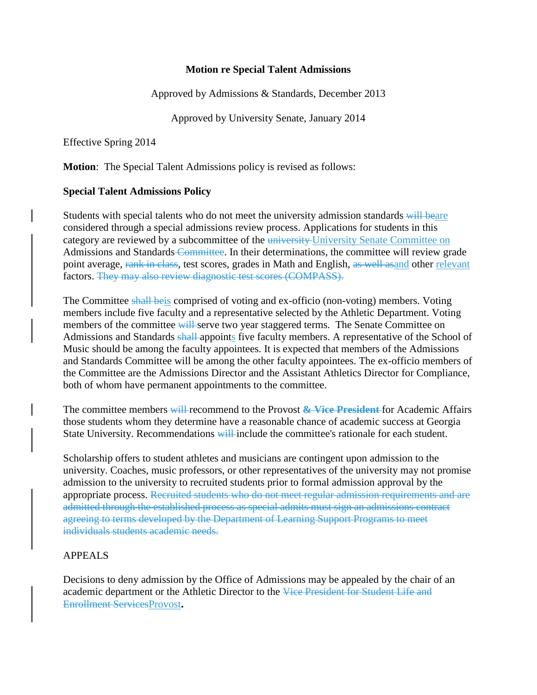## **Motion re Special Talent Admissions**

Approved by Admissions & Standards, December 2013

Approved by University Senate, January 2014

Effective Spring 2014

**Motion**: The Special Talent Admissions policy is revised as follows:

## **Special Talent Admissions Policy**

Students with special talents who do not meet the university admission standards will beare considered through a special admissions review process. Applications for students in this category are reviewed by a subcommittee of the university University Senate Committee on Admissions and Standards Committee. In their determinations, the committee will review grade point average, rank in class, test scores, grades in Math and English, as well as and other relevant factors. They may also review diagnostic test scores (COMPASS).

The Committee shall beis comprised of voting and ex-officio (non-voting) members. Voting members include five faculty and a representative selected by the Athletic Department. Voting members of the committee will serve two year staggered terms. The Senate Committee on Admissions and Standards shall appoints five faculty members. A representative of the School of Music should be among the faculty appointees. It is expected that members of the Admissions and Standards Committee will be among the other faculty appointees. The ex-officio members of the Committee are the Admissions Director and the Assistant Athletics Director for Compliance, both of whom have permanent appointments to the committee.

The committee members will recommend to the Provost **& Vice President** for Academic Affairs those students whom they determine have a reasonable chance of academic success at Georgia State University. Recommendations will include the committee's rationale for each student.

Scholarship offers to student athletes and musicians are contingent upon admission to the university. Coaches, music professors, or other representatives of the university may not promise admission to the university to recruited students prior to formal admission approval by the appropriate process. Recruited students who do not meet regular admission requirements and are admitted through the established process as special admits must sign an admissions contract agreeing to terms developed by the Department of Learning Support Programs to meet individuals students academic needs.

## APPEALS

Decisions to deny admission by the Office of Admissions may be appealed by the chair of an academic department or the Athletic Director to the Vice President for Student Life and Enrollment ServicesProvost**.**